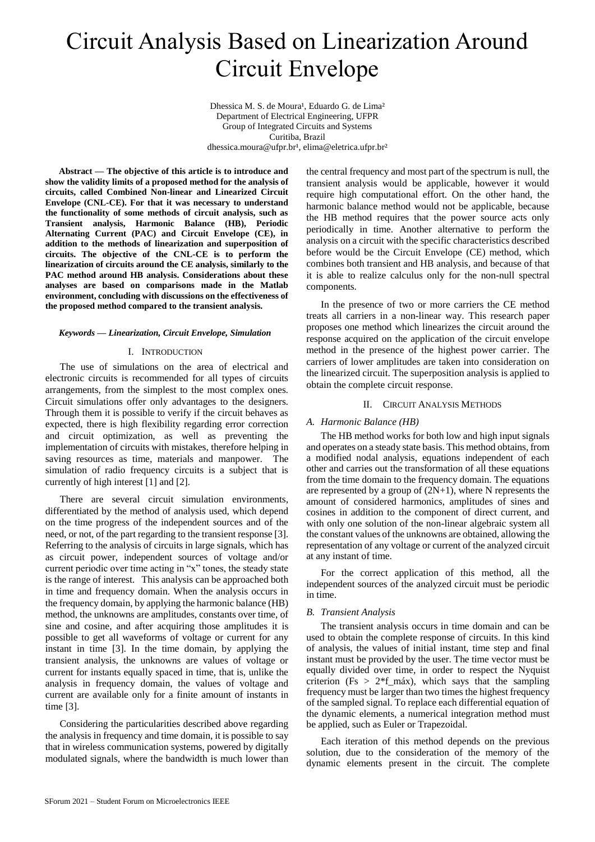# Circuit Analysis Based on Linearization Around Circuit Envelope

Dhessica M. S. de Moura<sup>1</sup>, Eduardo G. de Lima<sup>2</sup> Department of Electrical Engineering, UFPR Group of Integrated Circuits and Systems Curitiba, Brazil dhessica.moura@ufpr.br<sup>1</sup>, elima@eletrica.ufpr.br<sup>2</sup>

**Abstract — The objective of this article is to introduce and show the validity limits of a proposed method for the analysis of circuits, called Combined Non-linear and Linearized Circuit Envelope (CNL-CE). For that it was necessary to understand the functionality of some methods of circuit analysis, such as Transient analysis, Harmonic Balance (HB), Periodic Alternating Current (PAC) and Circuit Envelope (CE), in addition to the methods of linearization and superposition of circuits. The objective of the CNL-CE is to perform the linearization of circuits around the CE analysis, similarly to the PAC method around HB analysis. Considerations about these analyses are based on comparisons made in the Matlab environment, concluding with discussions on the effectiveness of the proposed method compared to the transient analysis.**

### *Keywords — Linearization, Circuit Envelope, Simulation*

## I. INTRODUCTION

The use of simulations on the area of electrical and electronic circuits is recommended for all types of circuits arrangements, from the simplest to the most complex ones. Circuit simulations offer only advantages to the designers. Through them it is possible to verify if the circuit behaves as expected, there is high flexibility regarding error correction and circuit optimization, as well as preventing the implementation of circuits with mistakes, therefore helping in saving resources as time, materials and manpower. The simulation of radio frequency circuits is a subject that is currently of high interest [1] and [2].

There are several circuit simulation environments, differentiated by the method of analysis used, which depend on the time progress of the independent sources and of the need, or not, of the part regarding to the transient response [3]. Referring to the analysis of circuits in large signals, which has as circuit power, independent sources of voltage and/or current periodic over time acting in "x" tones, the steady state is the range of interest. This analysis can be approached both in time and frequency domain. When the analysis occurs in the frequency domain, by applying the harmonic balance (HB) method, the unknowns are amplitudes, constants over time, of sine and cosine, and after acquiring those amplitudes it is possible to get all waveforms of voltage or current for any instant in time [3]. In the time domain, by applying the transient analysis, the unknowns are values of voltage or current for instants equally spaced in time, that is, unlike the analysis in frequency domain, the values of voltage and current are available only for a finite amount of instants in time [3].

Considering the particularities described above regarding the analysis in frequency and time domain, it is possible to say that in wireless communication systems, powered by digitally modulated signals, where the bandwidth is much lower than the central frequency and most part of the spectrum is null, the transient analysis would be applicable, however it would require high computational effort. On the other hand, the harmonic balance method would not be applicable, because the HB method requires that the power source acts only periodically in time. Another alternative to perform the analysis on a circuit with the specific characteristics described before would be the Circuit Envelope (CE) method, which combines both transient and HB analysis, and because of that it is able to realize calculus only for the non-null spectral components.

In the presence of two or more carriers the CE method treats all carriers in a non-linear way. This research paper proposes one method which linearizes the circuit around the response acquired on the application of the circuit envelope method in the presence of the highest power carrier. The carriers of lower amplitudes are taken into consideration on the linearized circuit. The superposition analysis is applied to obtain the complete circuit response.

### II. CIRCUIT ANALYSIS METHODS

## *A. Harmonic Balance (HB)*

The HB method works for both low and high input signals and operates on a steady state basis. This method obtains, from a modified nodal analysis, equations independent of each other and carries out the transformation of all these equations from the time domain to the frequency domain. The equations are represented by a group of  $(2N+1)$ , where N represents the amount of considered harmonics, amplitudes of sines and cosines in addition to the component of direct current, and with only one solution of the non-linear algebraic system all the constant values of the unknowns are obtained, allowing the representation of any voltage or current of the analyzed circuit at any instant of time.

For the correct application of this method, all the independent sources of the analyzed circuit must be periodic in time.

## *B. Transient Analysis*

The transient analysis occurs in time domain and can be used to obtain the complete response of circuits. In this kind of analysis, the values of initial instant, time step and final instant must be provided by the user. The time vector must be equally divided over time, in order to respect the Nyquist criterion (Fs  $> 2*f_{max}$ ), which says that the sampling frequency must be larger than two times the highest frequency of the sampled signal. To replace each differential equation of the dynamic elements, a numerical integration method must be applied, such as Euler or Trapezoidal.

Each iteration of this method depends on the previous solution, due to the consideration of the memory of the dynamic elements present in the circuit. The complete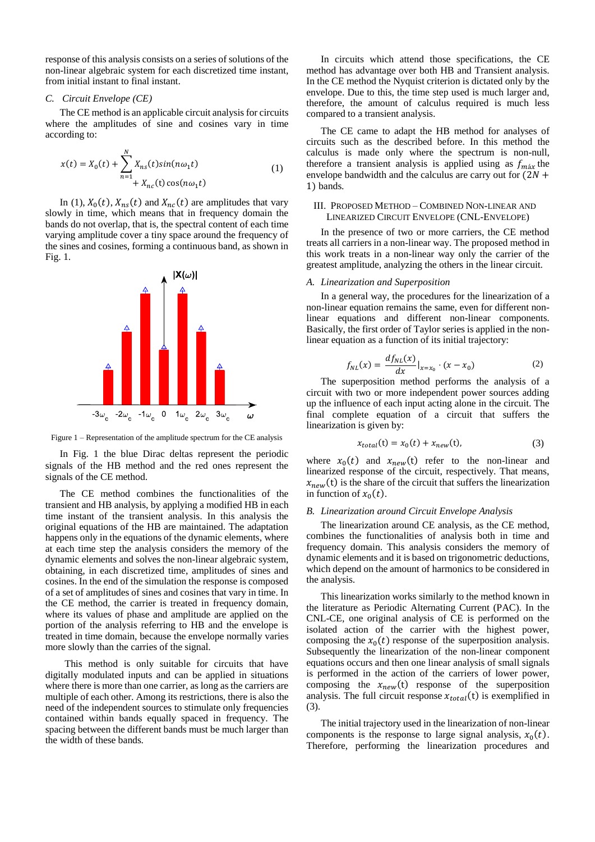response of this analysis consists on a series of solutions of the non-linear algebraic system for each discretized time instant, from initial instant to final instant.

#### *C. Circuit Envelope (CE)*

The CE method is an applicable circuit analysis for circuits where the amplitudes of sine and cosines vary in time according to:

$$
x(t) = X_0(t) + \sum_{n=1}^{N} X_{ns}(t) sin(n\omega_1 t)
$$
  
+  $X_{nc}(t) cos(n\omega_1 t)$  (1)

In (1),  $X_0(t)$ ,  $X_{ns}(t)$  and  $X_{nc}(t)$  are amplitudes that vary slowly in time, which means that in frequency domain the bands do not overlap, that is, the spectral content of each time varying amplitude cover a tiny space around the frequency of the sines and cosines, forming a continuous band, as shown in Fig. 1.



Figure 1 – Representation of the amplitude spectrum for the CE analysis

In Fig. 1 the blue Dirac deltas represent the periodic signals of the HB method and the red ones represent the signals of the CE method.

The CE method combines the functionalities of the transient and HB analysis, by applying a modified HB in each time instant of the transient analysis. In this analysis the original equations of the HB are maintained. The adaptation happens only in the equations of the dynamic elements, where at each time step the analysis considers the memory of the dynamic elements and solves the non-linear algebraic system, obtaining, in each discretized time, amplitudes of sines and cosines. In the end of the simulation the response is composed of a set of amplitudes of sines and cosines that vary in time. In the CE method, the carrier is treated in frequency domain, where its values of phase and amplitude are applied on the portion of the analysis referring to HB and the envelope is treated in time domain, because the envelope normally varies more slowly than the carries of the signal.

 This method is only suitable for circuits that have digitally modulated inputs and can be applied in situations where there is more than one carrier, as long as the carriers are multiple of each other. Among its restrictions, there is also the need of the independent sources to stimulate only frequencies contained within bands equally spaced in frequency. The spacing between the different bands must be much larger than the width of these bands.

In circuits which attend those specifications, the CE method has advantage over both HB and Transient analysis. In the CE method the Nyquist criterion is dictated only by the envelope. Due to this, the time step used is much larger and, therefore, the amount of calculus required is much less compared to a transient analysis.

The CE came to adapt the HB method for analyses of circuits such as the described before. In this method the calculus is made only where the spectrum is non-null, therefore a transient analysis is applied using as  $f_{\text{max}}$  the envelope bandwidth and the calculus are carry out for  $(2N +$ 1) bands.

# III. PROPOSED METHOD – COMBINED NON-LINEAR AND LINEARIZED CIRCUIT ENVELOPE (CNL-ENVELOPE)

In the presence of two or more carriers, the CE method treats all carriers in a non-linear way. The proposed method in this work treats in a non-linear way only the carrier of the greatest amplitude, analyzing the others in the linear circuit.

#### *A. Linearization and Superposition*

In a general way, the procedures for the linearization of a non-linear equation remains the same, even for different nonlinear equations and different non-linear components. Basically, the first order of Taylor series is applied in the nonlinear equation as a function of its initial trajectory:

$$
f_{NL}(x) = \frac{df_{NL}(x)}{dx}|_{x=x_0} \cdot (x - x_0)
$$
 (2)

The superposition method performs the analysis of a circuit with two or more independent power sources adding up the influence of each input acting alone in the circuit. The final complete equation of a circuit that suffers the linearization is given by:

$$
x_{total}(t) = x_0(t) + x_{new}(t),
$$
 (3)

where  $x_0(t)$  and  $x_{new}(t)$  refer to the non-linear and linearized response of the circuit, respectively. That means,  $x_{new}(t)$  is the share of the circuit that suffers the linearization in function of  $x_0(t)$ .

#### *B. Linearization around Circuit Envelope Analysis*

The linearization around CE analysis, as the CE method, combines the functionalities of analysis both in time and frequency domain. This analysis considers the memory of dynamic elements and it is based on trigonometric deductions, which depend on the amount of harmonics to be considered in the analysis.

This linearization works similarly to the method known in the literature as Periodic Alternating Current (PAC). In the CNL-CE, one original analysis of CE is performed on the isolated action of the carrier with the highest power, composing the  $x_0(t)$  response of the superposition analysis. Subsequently the linearization of the non-linear component equations occurs and then one linear analysis of small signals is performed in the action of the carriers of lower power, composing the  $x_{new}(t)$  response of the superposition analysis. The full circuit response  $x_{total}(t)$  is exemplified in (3).

The initial trajectory used in the linearization of non-linear components is the response to large signal analysis,  $x_0(t)$ . Therefore, performing the linearization procedures and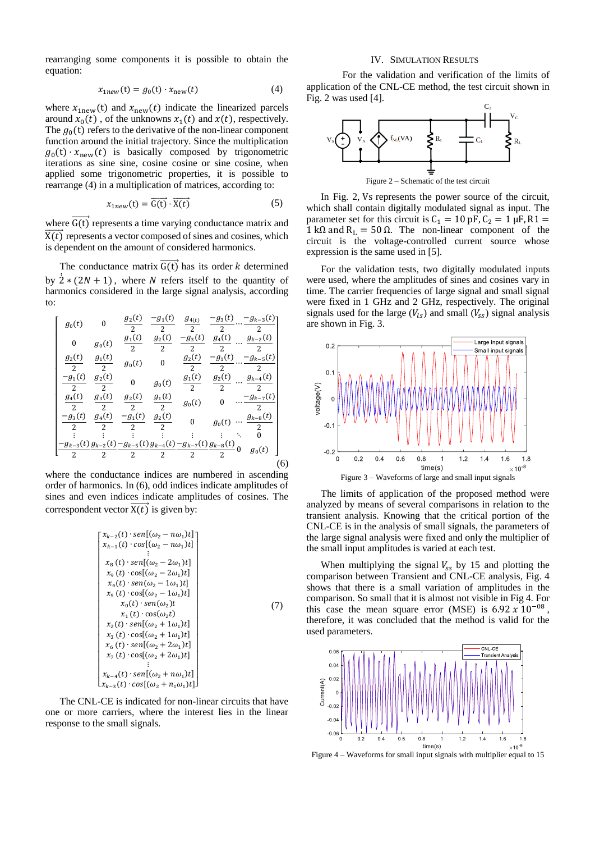rearranging some components it is possible to obtain the equation:

$$
x_{1new}(t) = g_0(t) \cdot x_{new}(t) \tag{4}
$$

where  $x_{1new}(t)$  and  $x_{new}(t)$  indicate the linearized parcels around  $x_0(t)$ , of the unknowns  $x_1(t)$  and  $x(t)$ , respectively. The  $g_0(t)$  refers to the derivative of the non-linear component function around the initial trajectory. Since the multiplication  $g_0(t) \cdot x_{\text{new}}(t)$  is basically composed by trigonometric iterations as sine sine, cosine cosine or sine cosine, when applied some trigonometric properties, it is possible to rearrange (4) in a multiplication of matrices, according to:

$$
x_{1new}(t) = \overrightarrow{G(t)} \cdot \overrightarrow{X(t)} \tag{5}
$$

where  $\overrightarrow{G(t)}$  represents a time varying conductance matrix and  $\overrightarrow{X(t)}$  represents a vector composed of sines and cosines, which is dependent on the amount of considered harmonics.

The conductance matrix  $\overrightarrow{G(t)}$  has its order *k* determined by  $\dot{2} * (2N + 1)$ , where N refers itself to the quantity of harmonics considered in the large signal analysis, according to:

$$
\begin{bmatrix}\ng_0(t) & 0 & \frac{g_2(t)}{2} & \frac{-g_1(t)}{2} & \frac{g_{4(t)}}{2} & \frac{-g_3(t)}{2} \cdots \frac{-g_{k-3}(t)}{2} \\
0 & g_0(t) & \frac{g_1(t)}{2} & \frac{g_2(t)}{2} & \frac{-g_3(t)}{2} & \frac{g_4(t)}{2} \cdots \frac{g_{k-2}(t)}{2} \\
\frac{g_2(t)}{2} & \frac{g_1(t)}{2} & g_0(t) & 0 & \frac{g_2(t)}{2} & \frac{-g_1(t)}{2} \cdots \frac{-g_{k-5}(t)}{2} \\
\frac{-g_1(t)}{2} & \frac{g_2(t)}{2} & 0 & g_0(t) & \frac{g_1(t)}{2} & \frac{g_2(t)}{2} \cdots \frac{g_{k-4}(t)}{2} \\
\frac{g_4(t)}{2} & \frac{g_3(t)}{2} & \frac{g_2(t)}{2} & g_0(t) & 0 & \cdots \frac{-g_{k-7}(t)}{2} \\
\frac{-g_3(t)}{2} & \frac{g_4(t)}{2} & \frac{-g_1(t)}{2} & \frac{g_2(t)}{2} & 0 & g_0(t) \cdots \frac{g_{k-8}(t)}{2} \\
\frac{-g_{k-3}(t)}{2} & \frac{g_{k-2}(t)}{2} & \frac{-g_{k-5}(t)}{2} & \frac{g_{k-4}(t)}{2} & \frac{g_{k-8}(t)}{2} & 0 & g_0(t) \\
\frac{-g_{k-3}(t)g_{k-2}(t) - g_{k-5}(t)g_{k-4}(t) - g_{k-7}(t)g_{k-8}(t)}{2} & 0 & g_0(t)\n\end{bmatrix}
$$
\n(6)

where the conductance indices are numbered in ascending order of harmonics. In (6), odd indices indicate amplitudes of sines and even indices indicate amplitudes of cosines. The correspondent vector  $\overrightarrow{X(t)}$  is given by:

$$
\begin{bmatrix}\nx_{k-2}(t) \cdot \text{sen}[(\omega_2 - n\omega_1)t] \\
x_{k-1}(t) \cdot \text{cos}[(\omega_2 - n\omega_1)t] \\
\vdots \\
x_8(t) \cdot \text{sen}[(\omega_2 - 2\omega_1)t] \\
x_9(t) \cdot \text{cos}[(\omega_2 - 2\omega_1)t] \\
x_4(t) \cdot \text{sen}(\omega_2 - 1\omega_1)t] \\
x_5(t) \cdot \text{cos}[(\omega_2 - 1\omega_1)t] \\
x_0(t) \cdot \text{sen}(\omega_2)t \\
x_1(t) \cdot \text{cos}(\omega_2 t) \\
x_2(t) \cdot \text{sen}[(\omega_2 + 1\omega_1)t] \\
x_3(t) \cdot \text{cos}[(\omega_2 + 2\omega_1)t] \\
x_6(t) \cdot \text{sen}[(\omega_2 + 2\omega_1)t] \\
\vdots \\
x_{k-4}(t) \cdot \text{sen}[(\omega_2 + n\omega_1)t] \\
x_{k-3}(t) \cdot \text{cos}[(\omega_2 + n\omega_1)t] \\
x_{k-3}(t) \cdot \text{cos}[(\omega_2 + n\omega_1)t]\n\end{bmatrix}
$$

The CNL-CE is indicated for non-linear circuits that have one or more carriers, where the interest lies in the linear response to the small signals.

# IV. SIMULATION RESULTS

For the validation and verification of the limits of application of the CNL-CE method, the test circuit shown in Fig. 2 was used [4].



In Fig. 2, Vs represents the power source of the circuit, which shall contain digitally modulated signal as input. The parameter set for this circuit is  $C_1 = 10$  pF,  $C_2 = 1$  µF, R1 = 1 kΩ and R<sub>L</sub> = 50 Ω. The non-linear component of the circuit is the voltage-controlled current source whose expression is the same used in [5].

For the validation tests, two digitally modulated inputs were used, where the amplitudes of sines and cosines vary in time. The carrier frequencies of large signal and small signal were fixed in 1 GHz and 2 GHz, respectively. The original signals used for the large  $(V_{1s})$  and small  $(V_{ss})$  signal analysis are shown in Fig. 3.



The limits of application of the proposed method were analyzed by means of several comparisons in relation to the transient analysis. Knowing that the critical portion of the CNL-CE is in the analysis of small signals, the parameters of the large signal analysis were fixed and only the multiplier of the small input amplitudes is varied at each test.

When multiplying the signal  $V_{ss}$  by 15 and plotting the comparison between Transient and CNL-CE analysis, Fig. 4 shows that there is a small variation of amplitudes in the comparison. So small that it is almost not visible in Fig 4. For this case the mean square error (MSE) is  $6.92 \times 10^{-08}$ , therefore, it was concluded that the method is valid for the used parameters.